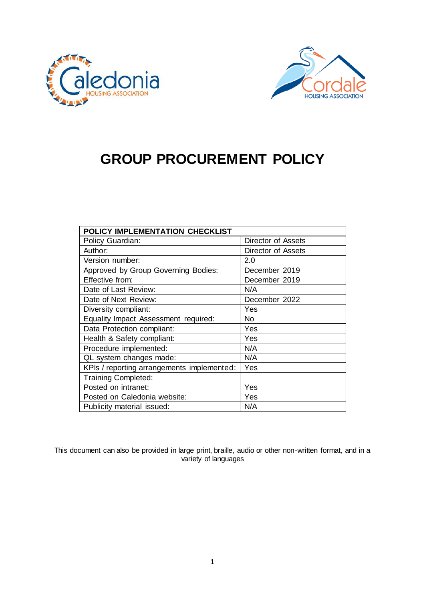



# **GROUP PROCUREMENT POLICY**

| POLICY IMPLEMENTATION CHECKLIST            |                    |
|--------------------------------------------|--------------------|
| Policy Guardian:                           | Director of Assets |
| Author:                                    | Director of Assets |
| Version number:                            | 2.0                |
| Approved by Group Governing Bodies:        | December 2019      |
| Effective from:                            | December 2019      |
| Date of Last Review:                       | N/A                |
| Date of Next Review:                       | December 2022      |
| Diversity compliant:                       | Yes                |
| Equality Impact Assessment required:       | No                 |
| Data Protection compliant:                 | Yes                |
| Health & Safety compliant:                 | Yes                |
| Procedure implemented:                     | N/A                |
| QL system changes made:                    | N/A                |
| KPIs / reporting arrangements implemented: | Yes                |
| <b>Training Completed:</b>                 |                    |
| Posted on intranet:                        | Yes                |
| Posted on Caledonia website:               | Yes                |
| Publicity material issued:                 | N/A                |

This document can also be provided in large print, braille, audio or other non-written format, and in a variety of languages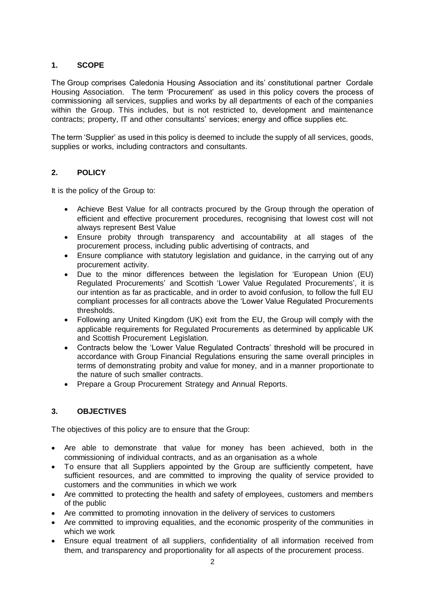# **1. SCOPE**

The Group comprises Caledonia Housing Association and its' constitutional partner Cordale Housing Association. The term 'Procurement' as used in this policy covers the process of commissioning all services, supplies and works by all departments of each of the companies within the Group. This includes, but is not restricted to, development and maintenance contracts; property, IT and other consultants' services; energy and office supplies etc.

The term 'Supplier' as used in this policy is deemed to include the supply of all services, goods, supplies or works, including contractors and consultants.

# **2. POLICY**

It is the policy of the Group to:

- Achieve Best Value for all contracts procured by the Group through the operation of efficient and effective procurement procedures, recognising that lowest cost will not always represent Best Value
- Ensure probity through transparency and accountability at all stages of the procurement process, including public advertising of contracts, and
- Ensure compliance with statutory legislation and guidance, in the carrying out of any procurement activity.
- Due to the minor differences between the legislation for 'European Union (EU) Regulated Procurements' and Scottish 'Lower Value Regulated Procurements', it is our intention as far as practicable, and in order to avoid confusion, to follow the full EU compliant processes for all contracts above the 'Lower Value Regulated Procurements thresholds.
- Following any United Kingdom (UK) exit from the EU, the Group will comply with the applicable requirements for Regulated Procurements as determined by applicable UK and Scottish Procurement Legislation.
- Contracts below the 'Lower Value Regulated Contracts' threshold will be procured in accordance with Group Financial Regulations ensuring the same overall principles in terms of demonstrating probity and value for money, and in a manner proportionate to the nature of such smaller contracts.
- Prepare a Group Procurement Strategy and Annual Reports.

# **3. OBJECTIVES**

The objectives of this policy are to ensure that the Group:

- Are able to demonstrate that value for money has been achieved, both in the commissioning of individual contracts, and as an organisation as a whole
- To ensure that all Suppliers appointed by the Group are sufficiently competent, have sufficient resources, and are committed to improving the quality of service provided to customers and the communities in which we work
- Are committed to protecting the health and safety of employees, customers and members of the public
- Are committed to promoting innovation in the delivery of services to customers
- Are committed to improving equalities, and the economic prosperity of the communities in which we work
- Ensure equal treatment of all suppliers, confidentiality of all information received from them, and transparency and proportionality for all aspects of the procurement process.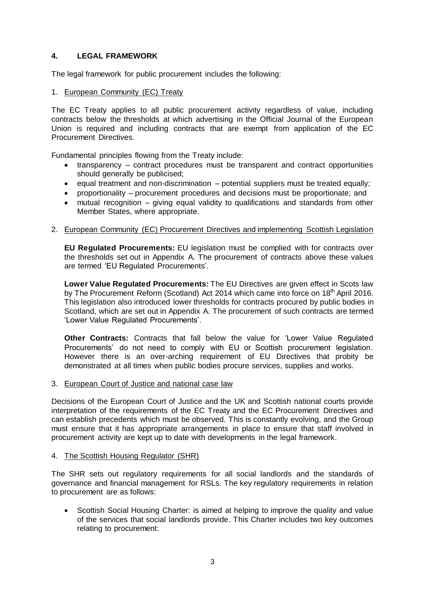# **4. LEGAL FRAMEWORK**

The legal framework for public procurement includes the following:

#### 1. European Community (EC) Treaty

The EC Treaty applies to all public procurement activity regardless of value, including contracts below the thresholds at which advertising in the Official Journal of the European Union is required and including contracts that are exempt from application of the EC Procurement Directives.

Fundamental principles flowing from the Treaty include:

- transparency contract procedures must be transparent and contract opportunities should generally be publicised;
- $\bullet$  equal treatment and non-discrimination potential suppliers must be treated equally;
- proportionality procurement procedures and decisions must be proportionate; and
- mutual recognition giving equal validity to qualifications and standards from other Member States, where appropriate.

#### 2. European Community (EC) Procurement Directives and implementing Scottish Legislation

**EU Regulated Procurements:** EU legislation must be complied with for contracts over the thresholds set out in Appendix A. The procurement of contracts above these values are termed 'EU Regulated Procurements'.

**Lower Value Regulated Procurements:** The EU Directives are given effect in Scots law by The Procurement Reform (Scotland) Act 2014 which came into force on 18<sup>th</sup> April 2016. This legislation also introduced lower thresholds for contracts procured by public bodies in Scotland, which are set out in Appendix A. The procurement of such contracts are termed 'Lower Value Regulated Procurements'.

**Other Contracts:** Contracts that fall below the value for 'Lower Value Regulated Procurements' do not need to comply with EU or Scottish procurement legislation. However there is an over-arching requirement of EU Directives that probity be demonstrated at all times when public bodies procure services, supplies and works.

3. European Court of Justice and national case law

Decisions of the European Court of Justice and the UK and Scottish national courts provide interpretation of the requirements of the EC Treaty and the EC Procurement Directives and can establish precedents which must be observed. This is constantly evolving, and the Group must ensure that it has appropriate arrangements in place to ensure that staff involved in procurement activity are kept up to date with developments in the legal framework.

#### 4. The Scottish Housing Regulator (SHR)

The SHR sets out regulatory requirements for all social landlords and the standards of governance and financial management for RSLs. The key regulatory requirements in relation to procurement are as follows:

 Scottish Social Housing Charter: is aimed at helping to improve the quality and value of the services that social landlords provide. This Charter includes two key outcomes relating to procurement: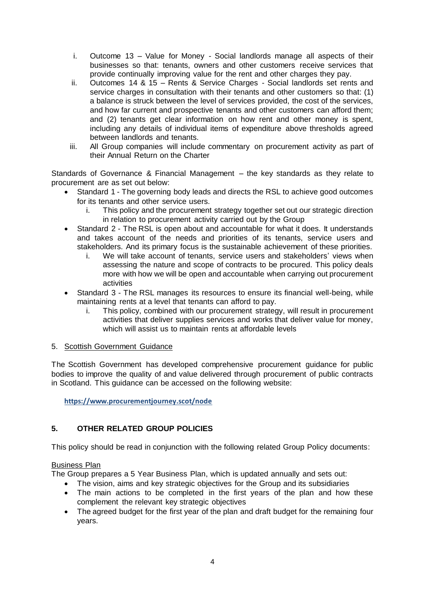- i. Outcome 13 Value for Money Social landlords manage all aspects of their businesses so that: tenants, owners and other customers receive services that provide continually improving value for the rent and other charges they pay.
- ii. Outcomes 14 & 15 Rents & Service Charges Social landlords set rents and service charges in consultation with their tenants and other customers so that: (1) a balance is struck between the level of services provided, the cost of the services, and how far current and prospective tenants and other customers can afford them; and (2) tenants get clear information on how rent and other money is spent, including any details of individual items of expenditure above thresholds agreed between landlords and tenants.
- iii. All Group companies will include commentary on procurement activity as part of their Annual Return on the Charter

Standards of Governance & Financial Management – the key standards as they relate to procurement are as set out below:

- Standard 1 The governing body leads and directs the RSL to achieve good outcomes for its tenants and other service users.
	- i. This policy and the procurement strategy together set out our strategic direction in relation to procurement activity carried out by the Group
- Standard 2 The RSL is open about and accountable for what it does. It understands and takes account of the needs and priorities of its tenants, service users and stakeholders. And its primary focus is the sustainable achievement of these priorities.
	- i. We will take account of tenants, service users and stakeholders' views when assessing the nature and scope of contracts to be procured. This policy deals more with how we will be open and accountable when carrying out procurement activities
- Standard 3 The RSL manages its resources to ensure its financial well-being, while maintaining rents at a level that tenants can afford to pay.
	- i. This policy, combined with our procurement strategy, will result in procurement activities that deliver supplies services and works that deliver value for money, which will assist us to maintain rents at affordable levels

# 5. Scottish Government Guidance

The Scottish Government has developed comprehensive procurement guidance for public bodies to improve the quality of and value delivered through procurement of public contracts in Scotland. This guidance can be accessed on the following website:

**<https://www.procurementjourney.scot/node>**

# **5. OTHER RELATED GROUP POLICIES**

This policy should be read in conjunction with the following related Group Policy documents:

# Business Plan

The Group prepares a 5 Year Business Plan, which is updated annually and sets out:

- The vision, aims and key strategic objectives for the Group and its subsidiaries
- The main actions to be completed in the first years of the plan and how these complement the relevant key strategic objectives
- The agreed budget for the first year of the plan and draft budget for the remaining four years.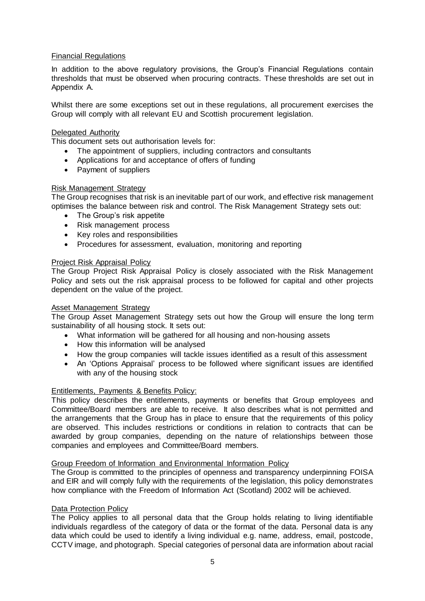#### Financial Regulations

In addition to the above regulatory provisions, the Group's Financial Regulations contain thresholds that must be observed when procuring contracts. These thresholds are set out in Appendix A.

Whilst there are some exceptions set out in these regulations, all procurement exercises the Group will comply with all relevant EU and Scottish procurement legislation.

#### Delegated Authority

This document sets out authorisation levels for:

- The appointment of suppliers, including contractors and consultants
- Applications for and acceptance of offers of funding
- Payment of suppliers

#### Risk Management Strategy

The Group recognises that risk is an inevitable part of our work, and effective risk management optimises the balance between risk and control. The Risk Management Strategy sets out:

- The Group's risk appetite
- Risk management process
- Key roles and responsibilities
- Procedures for assessment, evaluation, monitoring and reporting

#### Project Risk Appraisal Policy

The Group Project Risk Appraisal Policy is closely associated with the Risk Management Policy and sets out the risk appraisal process to be followed for capital and other projects dependent on the value of the project.

#### Asset Management Strategy

The Group Asset Management Strategy sets out how the Group will ensure the long term sustainability of all housing stock. It sets out:

- What information will be gathered for all housing and non-housing assets
- How this information will be analysed
- How the group companies will tackle issues identified as a result of this assessment
- An 'Options Appraisal' process to be followed where significant issues are identified with any of the housing stock

#### Entitlements, Payments & Benefits Policy:

This policy describes the entitlements, payments or benefits that Group employees and Committee/Board members are able to receive. It also describes what is not permitted and the arrangements that the Group has in place to ensure that the requirements of this policy are observed. This includes restrictions or conditions in relation to contracts that can be awarded by group companies, depending on the nature of relationships between those companies and employees and Committee/Board members.

#### Group Freedom of Information and Environmental Information Policy

The Group is committed to the principles of openness and transparency underpinning FOISA and EIR and will comply fully with the requirements of the legislation, this policy demonstrates how compliance with the Freedom of Information Act (Scotland) 2002 will be achieved.

#### **Data Protection Policy**

The Policy applies to all personal data that the Group holds relating to living identifiable individuals regardless of the category of data or the format of the data. Personal data is any data which could be used to identify a living individual e.g. name, address, email, postcode, CCTV image, and photograph. Special categories of personal data are information about racial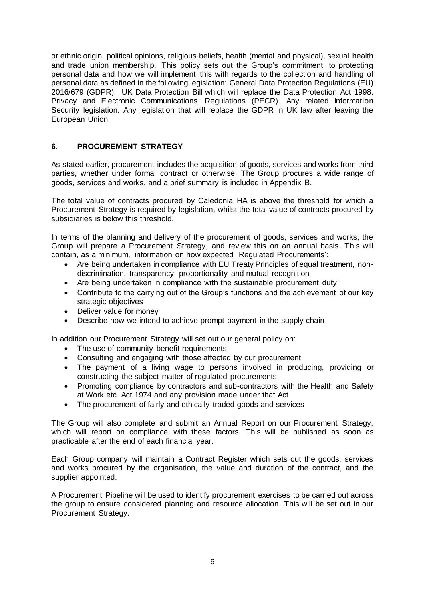or ethnic origin, political opinions, religious beliefs, health (mental and physical), sexual health and trade union membership. This policy sets out the Group's commitment to protecting personal data and how we will implement this with regards to the collection and handling of personal data as defined in the following legislation: General Data Protection Regulations (EU) 2016/679 (GDPR). UK Data Protection Bill which will replace the Data Protection Act 1998. Privacy and Electronic Communications Regulations (PECR). Any related Information Security legislation. Any legislation that will replace the GDPR in UK law after leaving the European Union

# **6. PROCUREMENT STRATEGY**

As stated earlier, procurement includes the acquisition of goods, services and works from third parties, whether under formal contract or otherwise. The Group procures a wide range of goods, services and works, and a brief summary is included in Appendix B.

The total value of contracts procured by Caledonia HA is above the threshold for which a Procurement Strategy is required by legislation, whilst the total value of contracts procured by subsidiaries is below this threshold.

In terms of the planning and delivery of the procurement of goods, services and works, the Group will prepare a Procurement Strategy, and review this on an annual basis. This will contain, as a minimum, information on how expected 'Regulated Procurements':

- Are being undertaken in compliance with EU Treaty Principles of equal treatment, nondiscrimination, transparency, proportionality and mutual recognition
- Are being undertaken in compliance with the sustainable procurement duty
- Contribute to the carrying out of the Group's functions and the achievement of our key strategic objectives
- Deliver value for money
- Describe how we intend to achieve prompt payment in the supply chain

In addition our Procurement Strategy will set out our general policy on:

- The use of community benefit requirements
- Consulting and engaging with those affected by our procurement
- The payment of a living wage to persons involved in producing, providing or constructing the subject matter of regulated procurements
- Promoting compliance by contractors and sub-contractors with the Health and Safety at Work etc. Act 1974 and any provision made under that Act
- The procurement of fairly and ethically traded goods and services

The Group will also complete and submit an Annual Report on our Procurement Strategy, which will report on compliance with these factors. This will be published as soon as practicable after the end of each financial year.

Each Group company will maintain a Contract Register which sets out the goods, services and works procured by the organisation, the value and duration of the contract, and the supplier appointed.

A Procurement Pipeline will be used to identify procurement exercises to be carried out across the group to ensure considered planning and resource allocation. This will be set out in our Procurement Strategy.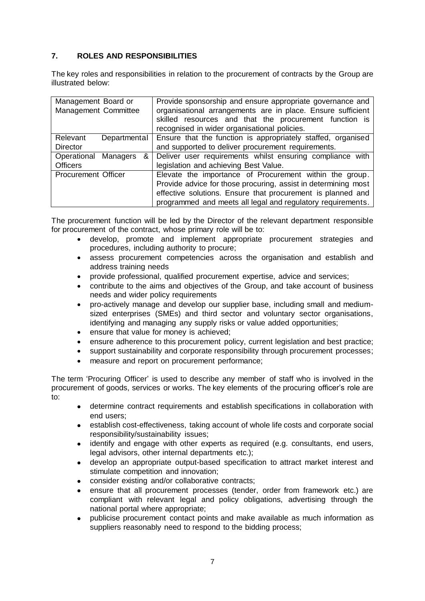# **7. ROLES AND RESPONSIBILITIES**

The key roles and responsibilities in relation to the procurement of contracts by the Group are illustrated below:

| Management Board or<br>Management Committee | Provide sponsorship and ensure appropriate governance and<br>organisational arrangements are in place. Ensure sufficient<br>skilled resources and that the procurement function is<br>recognised in wider organisational policies. |
|---------------------------------------------|------------------------------------------------------------------------------------------------------------------------------------------------------------------------------------------------------------------------------------|
| Relevant<br>Departmental                    | Ensure that the function is appropriately staffed, organised                                                                                                                                                                       |
| <b>Director</b>                             | and supported to deliver procurement requirements.                                                                                                                                                                                 |
| &<br>Operational Managers                   | Deliver user requirements whilst ensuring compliance with                                                                                                                                                                          |
| <b>Officers</b>                             | legislation and achieving Best Value.                                                                                                                                                                                              |
| <b>Procurement Officer</b>                  | Elevate the importance of Procurement within the group.                                                                                                                                                                            |
|                                             | Provide advice for those procuring, assist in determining most                                                                                                                                                                     |
|                                             | effective solutions. Ensure that procurement is planned and<br>programmed and meets all legal and regulatory requirements.                                                                                                         |

The procurement function will be led by the Director of the relevant department responsible for procurement of the contract, whose primary role will be to:

- develop, promote and implement appropriate procurement strategies and procedures, including authority to procure;
- assess procurement competencies across the organisation and establish and address training needs
- provide professional, qualified procurement expertise, advice and services;
- contribute to the aims and objectives of the Group, and take account of business needs and wider policy requirements
- pro-actively manage and develop our supplier base, including small and mediumsized enterprises (SMEs) and third sector and voluntary sector organisations, identifying and managing any supply risks or value added opportunities;
- ensure that value for money is achieved;
- ensure adherence to this procurement policy, current legislation and best practice;
- support sustainability and corporate responsibility through procurement processes;
- measure and report on procurement performance:

The term 'Procuring Officer' is used to describe any member of staff who is involved in the procurement of goods, services or works. The key elements of the procuring officer's role are to:

- determine contract requirements and establish specifications in collaboration with end users;
- establish cost-effectiveness, taking account of whole life costs and corporate social responsibility/sustainability issues;
- identify and engage with other experts as required (e.g. consultants, end users, legal advisors, other internal departments etc.);
- develop an appropriate output-based specification to attract market interest and stimulate competition and innovation;
- consider existing and/or collaborative contracts;
- ensure that all procurement processes (tender, order from framework etc.) are compliant with relevant legal and policy obligations, advertising through the national portal where appropriate;
- publicise procurement contact points and make available as much information as suppliers reasonably need to respond to the bidding process;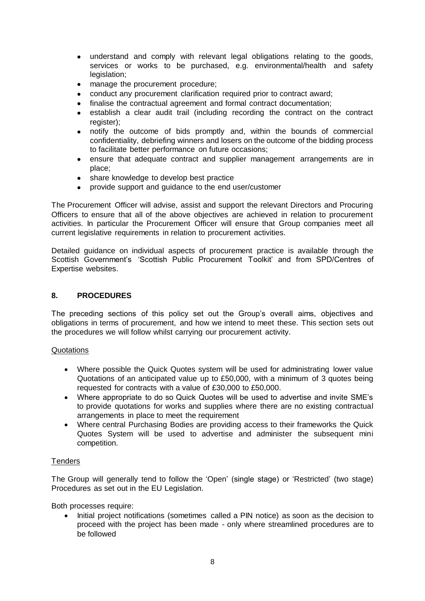- understand and comply with relevant legal obligations relating to the goods, services or works to be purchased, e.g. environmental/health and safety legislation;
- manage the procurement procedure;
- conduct any procurement clarification required prior to contract award;
- finalise the contractual agreement and formal contract documentation;
- establish a clear audit trail (including recording the contract on the contract register);
- notify the outcome of bids promptly and, within the bounds of commercial confidentiality, debriefing winners and losers on the outcome of the bidding process to facilitate better performance on future occasions;
- ensure that adequate contract and supplier management arrangements are in place;
- share knowledge to develop best practice
- provide support and guidance to the end user/customer

The Procurement Officer will advise, assist and support the relevant Directors and Procuring Officers to ensure that all of the above objectives are achieved in relation to procurement activities. In particular the Procurement Officer will ensure that Group companies meet all current legislative requirements in relation to procurement activities.

Detailed guidance on individual aspects of procurement practice is available through the Scottish Government's 'Scottish Public Procurement Toolkit' and from SPD/Centres of Expertise websites.

# **8. PROCEDURES**

The preceding sections of this policy set out the Group's overall aims, objectives and obligations in terms of procurement, and how we intend to meet these. This section sets out the procedures we will follow whilst carrying our procurement activity.

# Quotations

- Where possible the Quick Quotes system will be used for administrating lower value Quotations of an anticipated value up to £50,000, with a minimum of 3 quotes being requested for contracts with a value of £30,000 to £50,000.
- Where appropriate to do so Quick Quotes will be used to advertise and invite SME's to provide quotations for works and supplies where there are no existing contractual arrangements in place to meet the requirement
- Where central Purchasing Bodies are providing access to their frameworks the Quick Quotes System will be used to advertise and administer the subsequent mini competition.

# **Tenders**

The Group will generally tend to follow the 'Open' (single stage) or 'Restricted' (two stage) Procedures as set out in the EU Legislation.

Both processes require:

• Initial project notifications (sometimes called a PIN notice) as soon as the decision to proceed with the project has been made - only where streamlined procedures are to be followed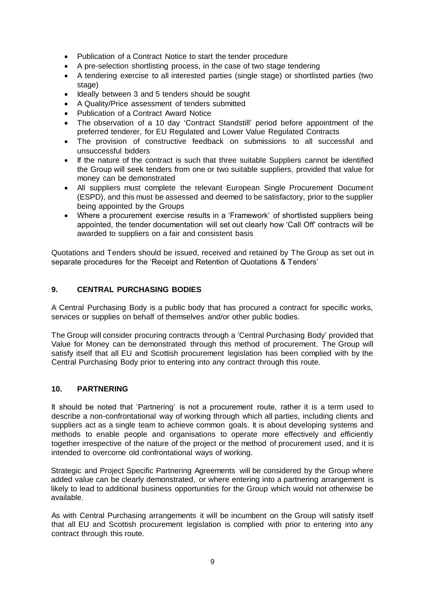- Publication of a Contract Notice to start the tender procedure
- A pre-selection shortlisting process, in the case of two stage tendering
- A tendering exercise to all interested parties (single stage) or shortlisted parties (two stage)
- Ideally between 3 and 5 tenders should be sought
- A Quality/Price assessment of tenders submitted
- Publication of a Contract Award Notice
- The observation of a 10 day 'Contract Standstill' period before appointment of the preferred tenderer, for EU Regulated and Lower Value Regulated Contracts
- The provision of constructive feedback on submissions to all successful and unsuccessful bidders
- If the nature of the contract is such that three suitable Suppliers cannot be identified the Group will seek tenders from one or two suitable suppliers, provided that value for money can be demonstrated
- All suppliers must complete the relevant European Single Procurement Document (ESPD), and this must be assessed and deemed to be satisfactory, prior to the supplier being appointed by the Groups
- Where a procurement exercise results in a 'Framework' of shortlisted suppliers being appointed, the tender documentation will set out clearly how 'Call Off' contracts will be awarded to suppliers on a fair and consistent basis

Quotations and Tenders should be issued, received and retained by The Group as set out in separate procedures for the 'Receipt and Retention of Quotations & Tenders'

# **9. CENTRAL PURCHASING BODIES**

A Central Purchasing Body is a public body that has procured a contract for specific works, services or supplies on behalf of themselves and/or other public bodies.

The Group will consider procuring contracts through a 'Central Purchasing Body' provided that Value for Money can be demonstrated through this method of procurement. The Group will satisfy itself that all EU and Scottish procurement legislation has been complied with by the Central Purchasing Body prior to entering into any contract through this route.

# **10. PARTNERING**

It should be noted that 'Partnering' is not a procurement route, rather it is a term used to describe a non-confrontational way of working through which all parties, including clients and suppliers act as a single team to achieve common goals. It is about developing systems and methods to enable people and organisations to operate more effectively and efficiently together irrespective of the nature of the project or the method of procurement used, and it is intended to overcome old confrontational ways of working.

Strategic and Project Specific Partnering Agreements will be considered by the Group where added value can be clearly demonstrated, or where entering into a partnering arrangement is likely to lead to additional business opportunities for the Group which would not otherwise be available.

As with Central Purchasing arrangements it will be incumbent on the Group will satisfy itself that all EU and Scottish procurement legislation is complied with prior to entering into any contract through this route.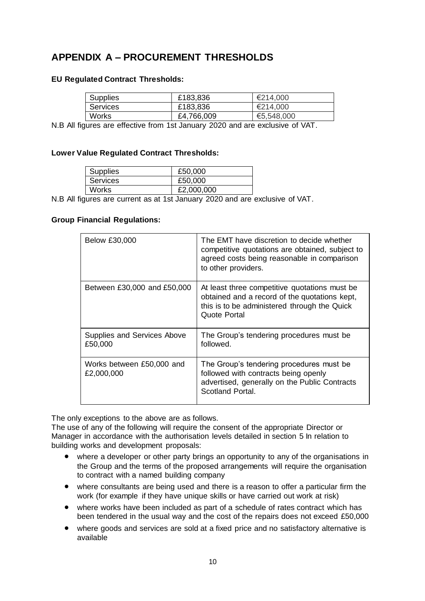# **APPENDIX A – PROCUREMENT THRESHOLDS**

# **EU Regulated Contract Thresholds:**

| Supplies        | £183,836   | €214,000   |
|-----------------|------------|------------|
| <b>Services</b> | £183,836   | €214,000   |
| Works           | £4,766,009 | €5,548,000 |

N.B All figures are effective from 1st January 2020 and are exclusive of VAT.

# **Lower Value Regulated Contract Thresholds:**

| <b>Supplies</b> | £50,000    |
|-----------------|------------|
| <b>Services</b> | £50,000    |
| <b>Works</b>    | £2,000,000 |
|                 |            |

N.B All figures are current as at 1st January 2020 and are exclusive of VAT.

# **Group Financial Regulations:**

| Below £30,000                           | The EMT have discretion to decide whether<br>competitive quotations are obtained, subject to<br>agreed costs being reasonable in comparison<br>to other providers. |
|-----------------------------------------|--------------------------------------------------------------------------------------------------------------------------------------------------------------------|
| Between £30,000 and £50,000             | At least three competitive quotations must be<br>obtained and a record of the quotations kept,<br>this is to be administered through the Quick<br>Quote Portal     |
| Supplies and Services Above<br>£50,000  | The Group's tendering procedures must be<br>followed.                                                                                                              |
| Works between £50,000 and<br>£2,000,000 | The Group's tendering procedures must be<br>followed with contracts being openly<br>advertised, generally on the Public Contracts<br>Scotland Portal.              |

The only exceptions to the above are as follows.

The use of any of the following will require the consent of the appropriate Director or Manager in accordance with the authorisation levels detailed in section 5 In relation to building works and development proposals:

- where a developer or other party brings an opportunity to any of the organisations in the Group and the terms of the proposed arrangements will require the organisation to contract with a named building company
- where consultants are being used and there is a reason to offer a particular firm the work (for example if they have unique skills or have carried out work at risk)
- where works have been included as part of a schedule of rates contract which has been tendered in the usual way and the cost of the repairs does not exceed £50,000
- where goods and services are sold at a fixed price and no satisfactory alternative is available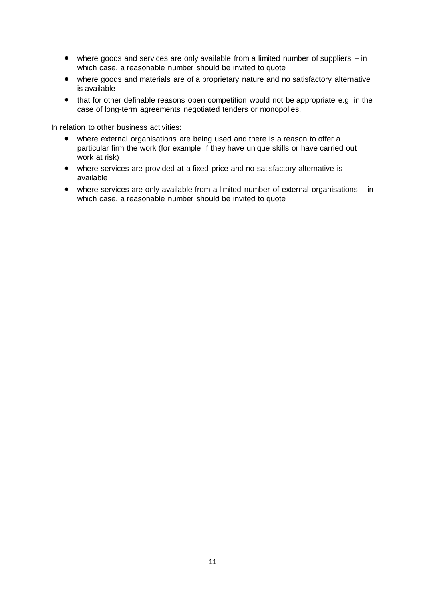- where goods and services are only available from a limited number of suppliers in which case, a reasonable number should be invited to quote
- where goods and materials are of a proprietary nature and no satisfactory alternative is available
- that for other definable reasons open competition would not be appropriate e.g. in the case of long-term agreements negotiated tenders or monopolies.

In relation to other business activities:

- where external organisations are being used and there is a reason to offer a particular firm the work (for example if they have unique skills or have carried out work at risk)
- where services are provided at a fixed price and no satisfactory alternative is available
- where services are only available from a limited number of external organisations in which case, a reasonable number should be invited to quote